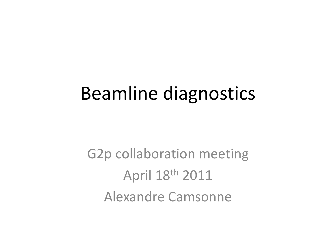### Beamline diagnostics

G2p collaboration meeting April 18th 2011 Alexandre Camsonne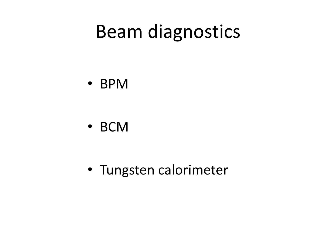### Beam diagnostics

• BPM

• BCM

• Tungsten calorimeter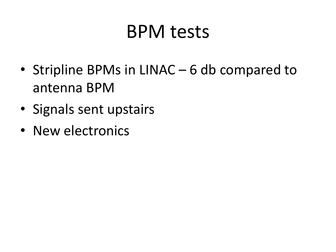### BPM tests

- Stripline BPMs in LINAC 6 db compared to antenna BPM
- Signals sent upstairs
- New electronics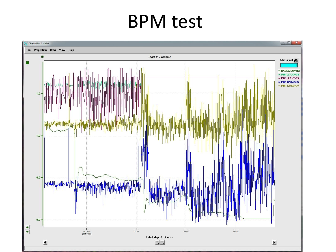### BPM test

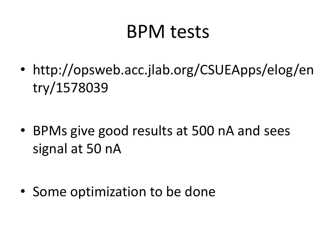### BPM tests

• http://opsweb.acc.jlab.org/CSUEApps/elog/en try/1578039

• BPMs give good results at 500 nA and sees signal at 50 nA

• Some optimization to be done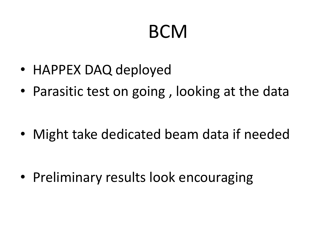## **BCM**

- HAPPEX DAQ deployed
- Parasitic test on going , looking at the data

• Might take dedicated beam data if needed

• Preliminary results look encouraging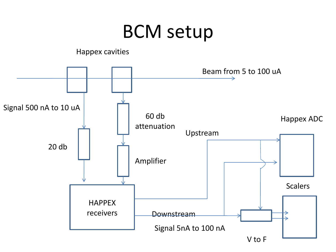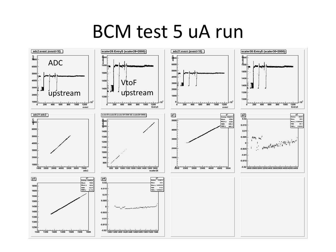#### BCM test 5 uA run

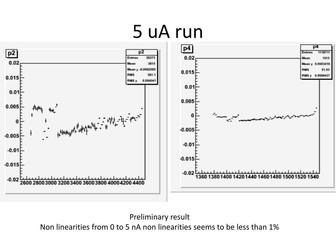### 5 uA run



Preliminary result

Non linearities from 0 to 5 nA non linearities seems to be less than 1%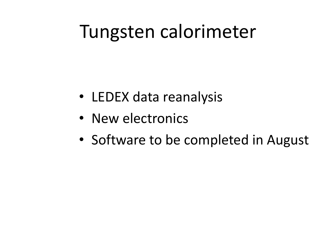### Tungsten calorimeter

- LEDEX data reanalysis
- New electronics
- Software to be completed in August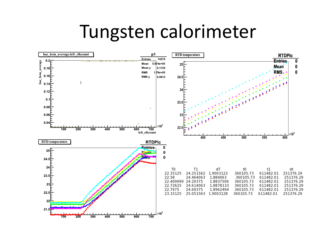#### Tungsten calorimeter

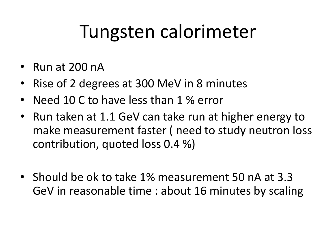## Tungsten calorimeter

- Run at 200 nA
- Rise of 2 degrees at 300 MeV in 8 minutes
- Need 10 C to have less than 1 % error
- Run taken at 1.1 GeV can take run at higher energy to make measurement faster ( need to study neutron loss contribution, quoted loss 0.4 %)
- Should be ok to take 1% measurement 50 nA at 3.3 GeV in reasonable time : about 16 minutes by scaling